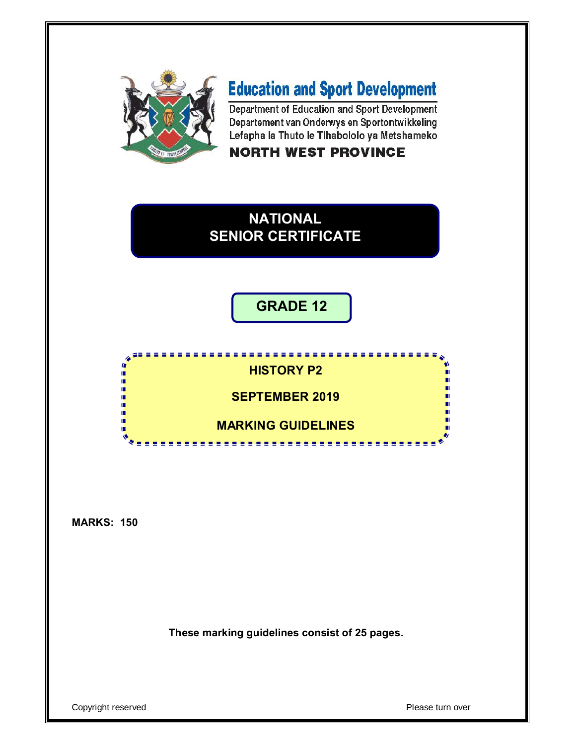

# **Education and Sport Development**

Department of Education and Sport Development Departement van Onderwys en Sportontwikkeling Lefapha la Thuto le Tihabololo ya Metshameko

## **NORTH WEST PROVINCE**

## **NATIONAL SENIOR CERTIFICATE**

## **GRADE 12**

#### ----------------h I. **HISTORY P2** ú, Ĩ, **SEPTEMBER 2019** ú, ú, ш ù. п ú. **MARKING GUIDELINES**m <u>. . . . . . . . . . . . . . .</u>

**MARKS: 150**

**These marking guidelines consist of 25 pages.**

Copyright reserved **Please turn over**  $\blacksquare$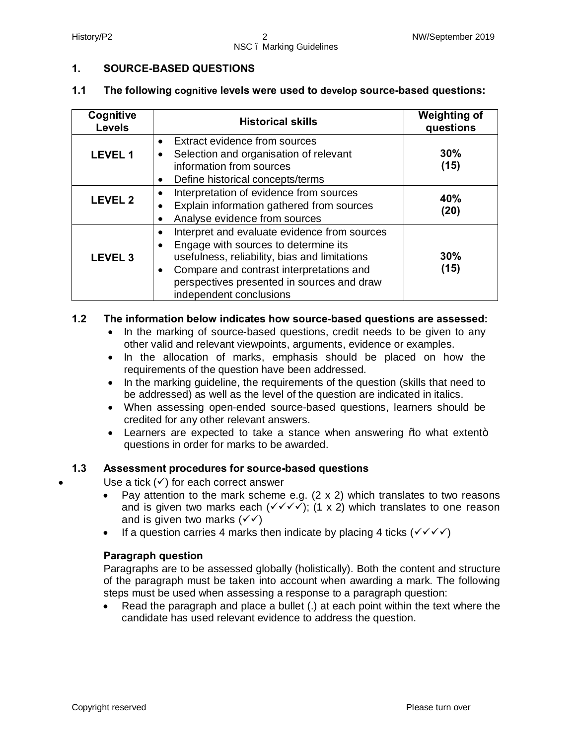#### **1. SOURCE-BASED QUESTIONS**

#### **1.1 The following cognitive levels were used to develop source-based questions:**

| Cognitive<br><b>Levels</b> | <b>Historical skills</b>                                                                                                                                                                                                                                                                          | <b>Weighting of</b><br>questions |
|----------------------------|---------------------------------------------------------------------------------------------------------------------------------------------------------------------------------------------------------------------------------------------------------------------------------------------------|----------------------------------|
| <b>LEVEL 1</b>             | Extract evidence from sources<br>$\bullet$<br>Selection and organisation of relevant<br>٠<br>information from sources<br>Define historical concepts/terms<br>$\bullet$                                                                                                                            | 30%<br>(15)                      |
| <b>LEVEL 2</b>             | Interpretation of evidence from sources<br>Explain information gathered from sources<br>Analyse evidence from sources                                                                                                                                                                             | 40%<br>(20)                      |
| <b>LEVEL 3</b>             | Interpret and evaluate evidence from sources<br>$\bullet$<br>Engage with sources to determine its<br>$\bullet$<br>usefulness, reliability, bias and limitations<br>Compare and contrast interpretations and<br>$\bullet$<br>perspectives presented in sources and draw<br>independent conclusions | 30%<br>(15)                      |

#### **1.2 The information below indicates how source-based questions are assessed:**

- · In the marking of source-based questions, credit needs to be given to any other valid and relevant viewpoints, arguments, evidence or examples.
- · In the allocation of marks, emphasis should be placed on how the requirements of the question have been addressed.
- · In the marking guideline, the requirements of the question (skills that need to be addressed) as well as the level of the question are indicated in italics.
- · When assessing open-ended source-based questions, learners should be credited for any other relevant answers.
- Learners are expected to take a stance when answering  $%$  what extent+ questions in order for marks to be awarded.

#### **1.3 Assessment procedures for source-based questions**

Use a tick  $(\checkmark)$  for each correct answer

- Pay attention to the mark scheme e.g.  $(2 \times 2)$  which translates to two reasons and is given two marks each  $(\sqrt{\sqrt{}})$ ; (1 x 2) which translates to one reason and is given two marks  $(\sqrt{\sqrt})$
- If a question carries 4 marks then indicate by placing 4 ticks  $(\sqrt{\sqrt{}})$

#### **Paragraph question**

Paragraphs are to be assessed globally (holistically). Both the content and structure of the paragraph must be taken into account when awarding a mark. The following steps must be used when assessing a response to a paragraph question:

· Read the paragraph and place a bullet (.) at each point within the text where the candidate has used relevant evidence to address the question.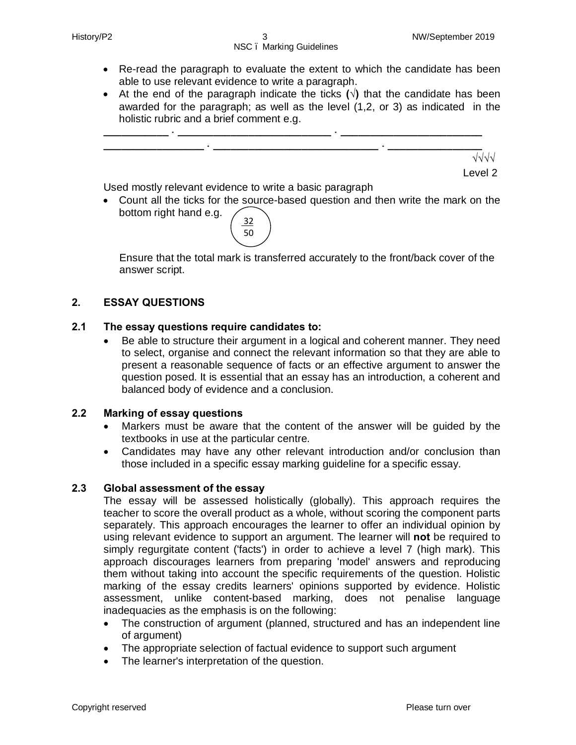- · Re-read the paragraph to evaluate the extent to which the candidate has been able to use relevant evidence to write a paragraph.
- · At the end of the paragraph indicate the ticks **(√)** that the candidate has been awarded for the paragraph; as well as the level (1,2, or 3) as indicated in the holistic rubric and a brief comment e.g.



Used mostly relevant evidence to write a basic paragraph

· Count all the ticks for the source-based question and then write the mark on the bottom right hand e.g.



Ensure that the total mark is transferred accurately to the front/back cover of the answer script.

#### **2. ESSAY QUESTIONS**

#### **2.1 The essay questions require candidates to:**

· Be able to structure their argument in a logical and coherent manner. They need to select, organise and connect the relevant information so that they are able to present a reasonable sequence of facts or an effective argument to answer the question posed. It is essential that an essay has an introduction, a coherent and balanced body of evidence and a conclusion.

#### **2.2 Marking of essay questions**

- · Markers must be aware that the content of the answer will be guided by the textbooks in use at the particular centre.
- · Candidates may have any other relevant introduction and/or conclusion than those included in a specific essay marking guideline for a specific essay.

#### **2.3 Global assessment of the essay**

The essay will be assessed holistically (globally). This approach requires the teacher to score the overall product as a whole, without scoring the component parts separately. This approach encourages the learner to offer an individual opinion by using relevant evidence to support an argument. The learner will **not** be required to simply regurgitate content ('facts') in order to achieve a level 7 (high mark). This approach discourages learners from preparing 'model' answers and reproducing them without taking into account the specific requirements of the question. Holistic marking of the essay credits learners' opinions supported by evidence. Holistic assessment, unlike content-based marking, does not penalise language inadequacies as the emphasis is on the following:

- The construction of argument (planned, structured and has an independent line of argument)
- · The appropriate selection of factual evidence to support such argument
- · The learner's interpretation of the question.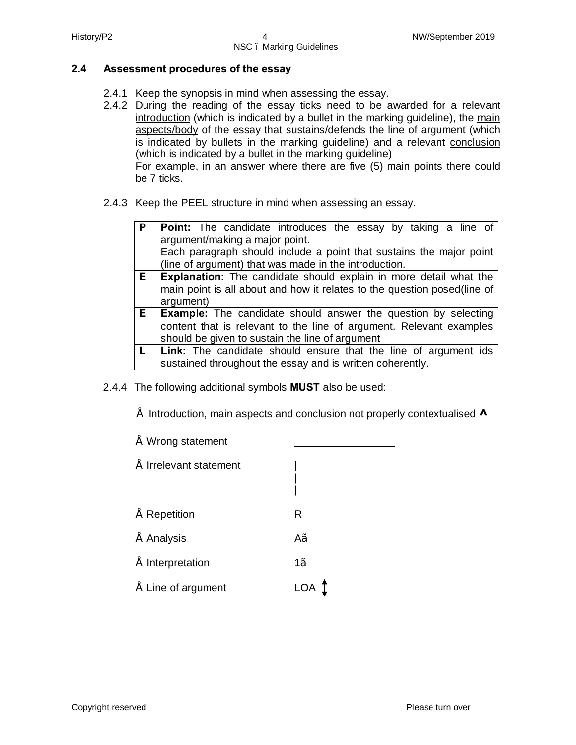#### **2.4 Assessment procedures of the essay**

- 2.4.1 Keep the synopsis in mind when assessing the essay.
- 2.4.2 During the reading of the essay ticks need to be awarded for a relevant introduction (which is indicated by a bullet in the marking guideline), the main aspects/body of the essay that sustains/defends the line of argument (which is indicated by bullets in the marking guideline) and a relevant conclusion (which is indicated by a bullet in the marking guideline)

For example, in an answer where there are five (5) main points there could be 7 ticks.

2.4.3 Keep the PEEL structure in mind when assessing an essay.

| $\mathsf{P}$ | <b>Point:</b> The candidate introduces the essay by taking a line of<br>argument/making a major point.<br>Each paragraph should include a point that sustains the major point<br>(line of argument) that was made in the introduction. |
|--------------|----------------------------------------------------------------------------------------------------------------------------------------------------------------------------------------------------------------------------------------|
| E            | <b>Explanation:</b> The candidate should explain in more detail what the<br>main point is all about and how it relates to the question posed (line of<br>argument)                                                                     |
|              | <b>E</b>   <b>Example:</b> The candidate should answer the question by selecting<br>content that is relevant to the line of argument. Relevant examples<br>should be given to sustain the line of argument                             |
| L.           | Link: The candidate should ensure that the line of argument ids<br>sustained throughout the essay and is written coherently.                                                                                                           |

- 2.4.4 The following additional symbols **MUST** also be used:
	- Introduction, main aspects and conclusion not properly contextualised **^**

| |

- $"$  Wrong statement
- $"$  Irrelevant statement
- Repetition R
- Analysis A√
- Interpretation 1√
- $\tilde{ }$  Line of argument LOA  $\uparrow$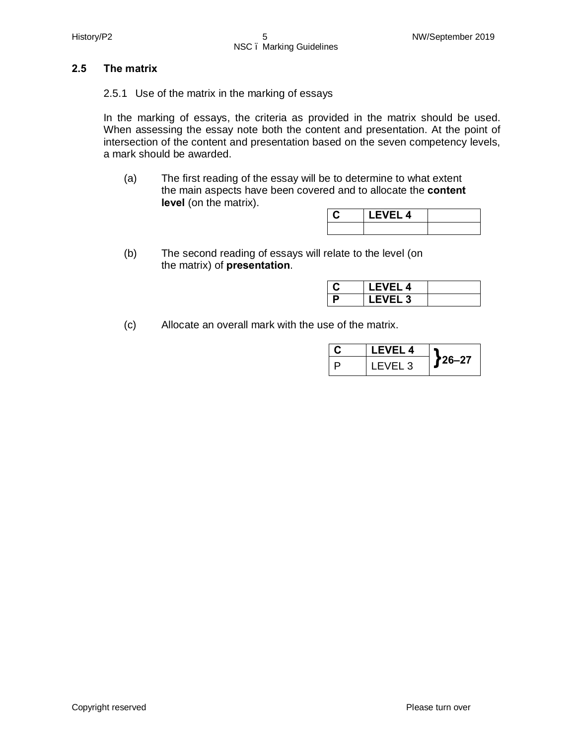#### **2.5 The matrix**

2.5.1 Use of the matrix in the marking of essays

In the marking of essays, the criteria as provided in the matrix should be used. When assessing the essay note both the content and presentation. At the point of intersection of the content and presentation based on the seven competency levels, a mark should be awarded.

(a) The first reading of the essay will be to determine to what extent the main aspects have been covered and to allocate the **content level** (on the matrix).

| <b>LEVEL 4</b> |  |
|----------------|--|
|                |  |

(b) The second reading of essays will relate to the level (on the matrix) of **presentation**.

|   | <b>LEVEL 4</b> |  |
|---|----------------|--|
| D | <b>LEVEL 3</b> |  |

(c) Allocate an overall mark with the use of the matrix.

| LEVEL 4 |        |
|---------|--------|
| LEVEL 3 | 726–27 |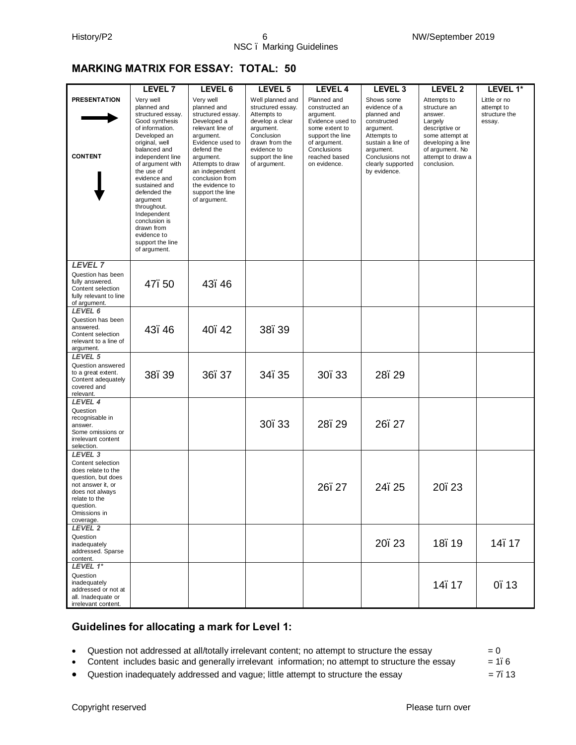#### **MARKING MATRIX FOR ESSAY: TOTAL: 50**

|                                                                                                                                                                                        | LEVEL 7                                                                                                                                                                                                                                                                                                                                                                 | LEVEL 6                                                                                                                                                                                                                                                      | LEVEL 5                                                                                                                                                                 | LEVEL 4                                                                                                                                                              | LEVEL <sub>3</sub>                                                                                                                                                              | LEVEL <sub>2</sub>                                                                                                                                                 | LEVEL 1*                                              |
|----------------------------------------------------------------------------------------------------------------------------------------------------------------------------------------|-------------------------------------------------------------------------------------------------------------------------------------------------------------------------------------------------------------------------------------------------------------------------------------------------------------------------------------------------------------------------|--------------------------------------------------------------------------------------------------------------------------------------------------------------------------------------------------------------------------------------------------------------|-------------------------------------------------------------------------------------------------------------------------------------------------------------------------|----------------------------------------------------------------------------------------------------------------------------------------------------------------------|---------------------------------------------------------------------------------------------------------------------------------------------------------------------------------|--------------------------------------------------------------------------------------------------------------------------------------------------------------------|-------------------------------------------------------|
| <b>PRESENTATION</b><br><b>CONTENT</b>                                                                                                                                                  | Very well<br>planned and<br>structured essay.<br>Good synthesis<br>of information.<br>Developed an<br>original, well<br>balanced and<br>independent line<br>of argument with<br>the use of<br>evidence and<br>sustained and<br>defended the<br>argument<br>throughout.<br>Independent<br>conclusion is<br>drawn from<br>evidence to<br>support the line<br>of argument. | Very well<br>planned and<br>structured essay.<br>Developed a<br>relevant line of<br>argument.<br>Evidence used to<br>defend the<br>argument.<br>Attempts to draw<br>an independent<br>conclusion from<br>the evidence to<br>support the line<br>of argument. | Well planned and<br>structured essay.<br>Attempts to<br>develop a clear<br>argument.<br>Conclusion<br>drawn from the<br>evidence to<br>support the line<br>of argument. | Planned and<br>constructed an<br>argument.<br>Evidence used to<br>some extent to<br>support the line<br>of argument.<br>Conclusions<br>reached based<br>on evidence. | Shows some<br>evidence of a<br>planned and<br>constructed<br>argument.<br>Attempts to<br>sustain a line of<br>argument.<br>Conclusions not<br>clearly supported<br>by evidence. | Attempts to<br>structure an<br>answer.<br>Largely<br>descriptive or<br>some attempt at<br>developing a line<br>of argument. No<br>attempt to draw a<br>conclusion. | Little or no<br>attempt to<br>structure the<br>essay. |
| <b>LEVEL 7</b><br>Question has been<br>fully answered.<br>Content selection<br>fully relevant to line<br>of argument.                                                                  | 47.50                                                                                                                                                                                                                                                                                                                                                                   | 43.46                                                                                                                                                                                                                                                        |                                                                                                                                                                         |                                                                                                                                                                      |                                                                                                                                                                                 |                                                                                                                                                                    |                                                       |
| LEVEL 6<br>Question has been<br>answered.<br>Content selection<br>relevant to a line of<br>argument.                                                                                   | 43.46                                                                                                                                                                                                                                                                                                                                                                   | 40.42                                                                                                                                                                                                                                                        | 38.39                                                                                                                                                                   |                                                                                                                                                                      |                                                                                                                                                                                 |                                                                                                                                                                    |                                                       |
| LEVEL 5<br>Question answered<br>to a great extent.<br>Content adequately<br>covered and<br>relevant.                                                                                   | 38.39                                                                                                                                                                                                                                                                                                                                                                   | 36.37                                                                                                                                                                                                                                                        | 34.35                                                                                                                                                                   | 30.33                                                                                                                                                                | 28.29                                                                                                                                                                           |                                                                                                                                                                    |                                                       |
| LEVEL 4<br>Question<br>recognisable in<br>answer.<br>Some omissions or<br>irrelevant content<br>selection.                                                                             |                                                                                                                                                                                                                                                                                                                                                                         |                                                                                                                                                                                                                                                              | 30.33                                                                                                                                                                   | 28.29                                                                                                                                                                | 26.27                                                                                                                                                                           |                                                                                                                                                                    |                                                       |
| LEVEL <sub>3</sub><br>Content selection<br>does relate to the<br>question, but does<br>not answer it, or<br>does not always<br>relate to the<br>question.<br>Omissions in<br>coverage. |                                                                                                                                                                                                                                                                                                                                                                         |                                                                                                                                                                                                                                                              |                                                                                                                                                                         | 26.27                                                                                                                                                                | 24.25                                                                                                                                                                           | 20.23                                                                                                                                                              |                                                       |
| LEVEL 2<br>Question<br>inadequately<br>addressed. Sparse<br>content.                                                                                                                   |                                                                                                                                                                                                                                                                                                                                                                         |                                                                                                                                                                                                                                                              |                                                                                                                                                                         |                                                                                                                                                                      | 20.23                                                                                                                                                                           | 18.19                                                                                                                                                              | 14.17                                                 |
| LEVEL 1*<br>Question<br>inadequately<br>addressed or not at<br>all. Inadequate or<br>irrelevant content.                                                                               |                                                                                                                                                                                                                                                                                                                                                                         |                                                                                                                                                                                                                                                              |                                                                                                                                                                         |                                                                                                                                                                      |                                                                                                                                                                                 | 14.17                                                                                                                                                              | 0.13                                                  |

#### **Guidelines for allocating a mark for Level 1:**

• Question not addressed at all/totally irrelevant content; no attempt to structure the essay  $= 0$ 

• Content includes basic and generally irrelevant information; no attempt to structure the essay  $= 1.6$ 

• Question inadequately addressed and vague; little attempt to structure the essay  $= 7.13$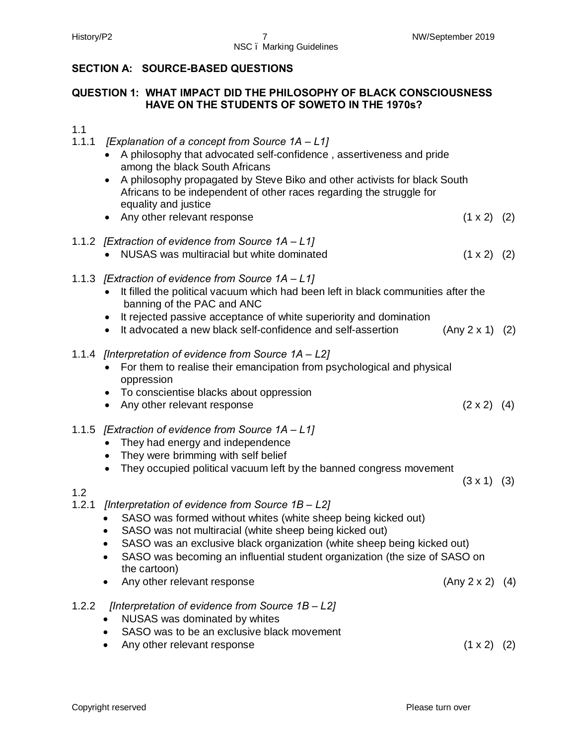#### History/P2 7 NW/September 2019 NSC – Marking Guidelines

### **SECTION A: SOURCE-BASED QUESTIONS**

#### **QUESTION 1: WHAT IMPACT DID THE PHILOSOPHY OF BLACK CONSCIOUSNESS HAVE ON THE STUDENTS OF SOWETO IN THE 1970s?**

1.1

- 1.1.1 *[Explanation of a concept from Source 1A – L1]*
	- · A philosophy that advocated self-confidence , assertiveness and pride among the black South Africans
	- · A philosophy propagated by Steve Biko and other activists for black South Africans to be independent of other races regarding the struggle for equality and justice
	- Any other relevant response (1 x 2) (2)
- 1.1.2 *[Extraction of evidence from Source 1A – L1]*
	- NUSAS was multiracial but white dominated (1 x 2) (2)
- 1.1.3 *[Extraction of evidence from Source 1A – L1]*
	- · It filled the political vacuum which had been left in black communities after the banning of the PAC and ANC
	- It rejected passive acceptance of white superiority and domination
	- It advocated a new black self-confidence and self-assertion (Any 2 x 1) (2)
- 1.1.4 *[Interpretation of evidence from Source 1A – L2]*
	- · For them to realise their emancipation from psychological and physical oppression
	- · To conscientise blacks about oppression
	- Any other relevant response (2 x 2) (4)
- 1.1.5 *[Extraction of evidence from Source 1A – L1]*
	- · They had energy and independence
	- · They were brimming with self belief
	- They occupied political vacuum left by the banned congress movement

 $(3 \times 1)$   $(3)$ 

#### 1.2

- 1.2.1 *[Interpretation of evidence from Source 1B – L2]*
	- SASO was formed without whites (white sheep being kicked out)
	- SASO was not multiracial (white sheep being kicked out)
	- SASO was an exclusive black organization (white sheep being kicked out)
	- · SASO was becoming an influential student organization (the size of SASO on the cartoon)
	- Any other relevant response (Any 2 x 2) (4)
- 1.2.2 *[Interpretation of evidence from Source 1B – L2]*
	- · NUSAS was dominated by whites
	- SASO was to be an exclusive black movement
	- Any other relevant response (1 x 2) (2)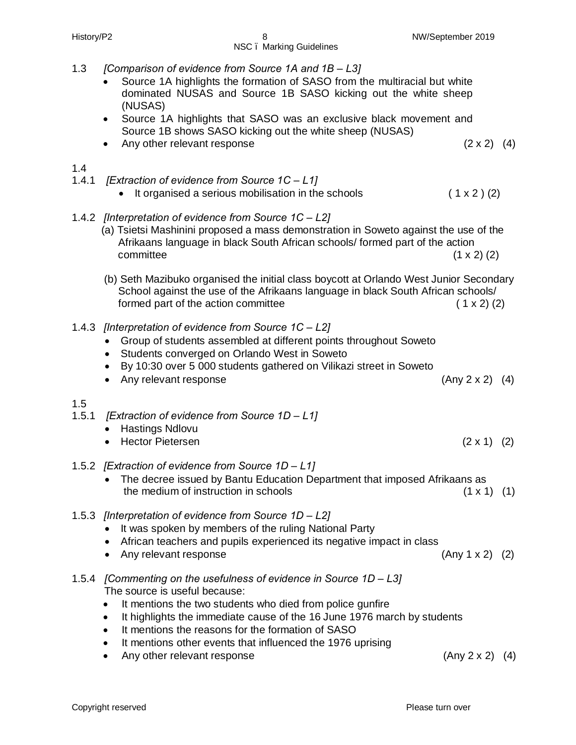- 1.3 *[Comparison of evidence from Source 1A and 1B – L3]* Source 1A highlights the formation of SASO from the multiracial but white dominated NUSAS and Source 1B SASO kicking out the white sheep (NUSAS) · Source 1A highlights that SASO was an exclusive black movement and Source 1B shows SASO kicking out the white sheep (NUSAS) • Any other relevant response (2 x 2) (4) 1.4 1.4.1 *[Extraction of evidence from Source 1C – L1]* • It organised a serious mobilisation in the schools  $(1 \times 2)$  (2) 1.4.2 *[Interpretation of evidence from Source 1C – L2]* (a) Tsietsi Mashinini proposed a mass demonstration in Soweto against the use of the Afrikaans language in black South African schools/ formed part of the action  ${\tt committee}$  (1 x 2) (2) (b) Seth Mazibuko organised the initial class boycott at Orlando West Junior Secondary School against the use of the Afrikaans language in black South African schools/ formed part of the action committee ( 1 x 2) (2) 1.4.3 *[Interpretation of evidence from Source 1C – L2]* · Group of students assembled at different points throughout Soweto · Students converged on Orlando West in Soweto · By 10:30 over 5 000 students gathered on Vilikazi street in Soweto · Any relevant response (Any 2 x 2) (4) 1.5 1.5.1 *[Extraction of evidence from Source 1D – L1]* · Hastings Ndlovu • Hector Pietersen (2 x 1) (2) 1.5.2 *[Extraction of evidence from Source 1D – L1]* · The decree issued by Bantu Education Department that imposed Afrikaans as the medium of instruction in schools  $(1 \times 1)$  (1) 1.5.3 *[Interpretation of evidence from Source 1D – L2]* · It was spoken by members of the ruling National Party · African teachers and pupils experienced its negative impact in class · Any relevant response (Any 1 x 2) (2) 1.5.4 *[Commenting on the usefulness of evidence in Source 1D – L3]* The source is useful because: · It mentions the two students who died from police gunfire · It highlights the immediate cause of the 16 June 1976 march by students · It mentions the reasons for the formation of SASO · It mentions other events that influenced the 1976 uprising
	- Any other relevant response (Any 2 x 2) (4)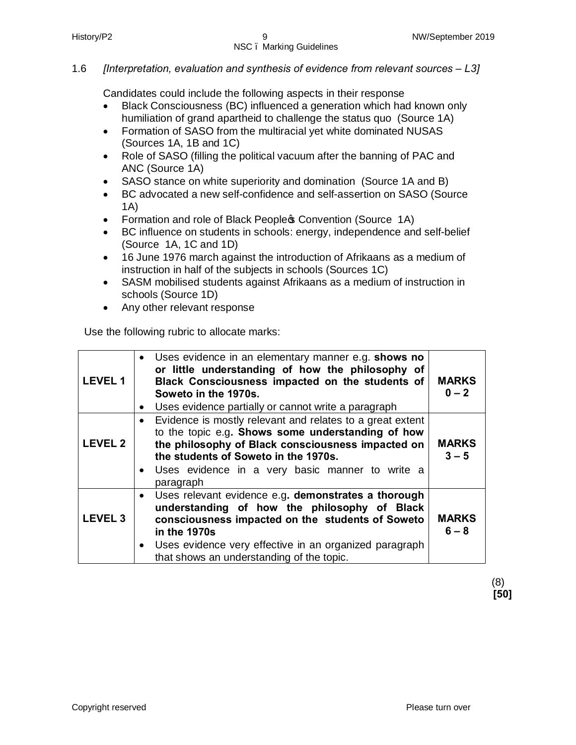#### 1.6 *[Interpretation, evaluation and synthesis of evidence from relevant sources – L3]*

Candidates could include the following aspects in their response

- · Black Consciousness (BC) influenced a generation which had known only humiliation of grand apartheid to challenge the status quo (Source 1A)
- · Formation of SASO from the multiracial yet white dominated NUSAS (Sources 1A, 1B and 1C)
- · Role of SASO (filling the political vacuum after the banning of PAC and ANC (Source 1A)
- SASO stance on white superiority and domination (Source 1A and B)
- · BC advocated a new self-confidence and self-assertion on SASO (Source 1A)
- Formation and role of Black People Convention (Source 1A)
- · BC influence on students in schools: energy, independence and self-belief (Source 1A, 1C and 1D)
- · 16 June 1976 march against the introduction of Afrikaans as a medium of instruction in half of the subjects in schools (Sources 1C)
- · SASM mobilised students against Afrikaans as a medium of instruction in schools (Source 1D)
- · Any other relevant response

Use the following rubric to allocate marks:

| <b>LEVEL1</b>  | Uses evidence in an elementary manner e.g. shows no<br>$\bullet$<br>or little understanding of how the philosophy of<br>Black Consciousness impacted on the students of<br>Soweto in the 1970s.<br>Uses evidence partially or cannot write a paragraph<br>$\bullet$                      | <b>MARKS</b><br>$0 - 2$ |
|----------------|------------------------------------------------------------------------------------------------------------------------------------------------------------------------------------------------------------------------------------------------------------------------------------------|-------------------------|
| <b>LEVEL 2</b> | Evidence is mostly relevant and relates to a great extent<br>to the topic e.g. Shows some understanding of how<br>the philosophy of Black consciousness impacted on<br>the students of Soweto in the 1970s.<br>Uses evidence in a very basic manner to write a<br>$\bullet$<br>paragraph | <b>MARKS</b><br>$3 - 5$ |
| <b>LEVEL 3</b> | Uses relevant evidence e.g. demonstrates a thorough<br>understanding of how the philosophy of Black<br>consciousness impacted on the students of Soweto<br>in the 1970s<br>Uses evidence very effective in an organized paragraph<br>that shows an understanding of the topic.           | <b>MARKS</b><br>$6 - 8$ |

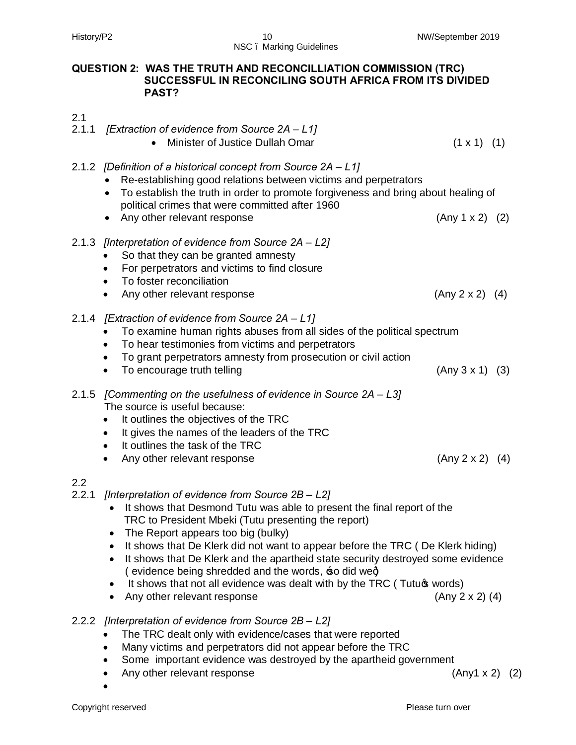#### **QUESTION 2: WAS THE TRUTH AND RECONCILLIATION COMMISSION (TRC) SUCCESSFUL IN RECONCILING SOUTH AFRICA FROM ITS DIVIDED PAST?**

#### 2.1

- 2.1.1 *[Extraction of evidence from Source 2A – L1]*
	- Minister of Justice Dullah Omar (1 x 1) (1)
- 2.1.2 *[Definition of a historical concept from Source 2A L1]* 
	- · Re-establishing good relations between victims and perpetrators
	- · To establish the truth in order to promote forgiveness and bring about healing of political crimes that were committed after 1960
	- Any other relevant response (Any 1 x 2) (2)

#### 2.1.3 *[Interpretation of evidence from Source 2A – L2]*

- · So that they can be granted amnesty
- · For perpetrators and victims to find closure
- · To foster reconciliation
- Any other relevant response (Any 2 x 2) (4)
- 2.1.4 *[Extraction of evidence from Source 2A – L1]*
	- · To examine human rights abuses from all sides of the political spectrum
	- · To hear testimonies from victims and perpetrators
	- · To grant perpetrators amnesty from prosecution or civil action
	- To encourage truth telling (Any 3 x 1) (3)
- 2.1.5 *[Commenting on the usefulness of evidence in Source 2A – L3]* The source is useful because:
	- · It outlines the objectives of the TRC
	- · It gives the names of the leaders of the TRC
	- · It outlines the task of the TRC
	- Any other relevant response (Any 2 x 2) (4)

## 2.2

- 2.2.1 *[Interpretation of evidence from Source 2B – L2]*
	- · It shows that Desmond Tutu was able to present the final report of the TRC to President Mbeki (Tutu presenting the report)
	- The Report appears too big (bulky)
	- It shows that De Klerk did not want to appear before the TRC ( De Klerk hiding)
	- · It shows that De Klerk and the apartheid state security destroyed some evidence ( evidence being shredded and the words,  $\pm$ o did weg)
	- It shows that not all evidence was dealt with by the TRC (Tutuqs words)
	- · Any other relevant response (Any 2 x 2) (4)
- 2.2.2 *[Interpretation of evidence from Source 2B – L2]*
	- · The TRC dealt only with evidence/cases that were reported
	- · Many victims and perpetrators did not appear before the TRC
	- · Some important evidence was destroyed by the apartheid government
	- · Any other relevant response (Any1 x 2) (2)
	- ·

- 
- 
-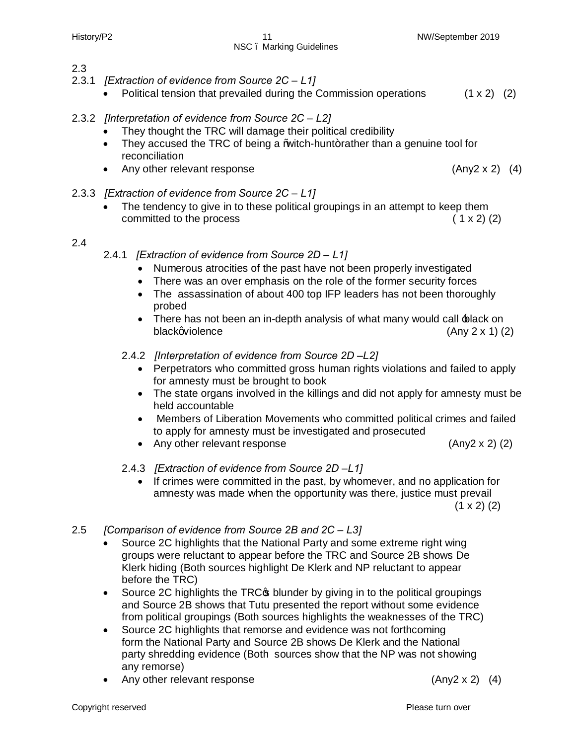2.3

#### History/P2 11 NW/September 2019 NSC – Marking Guidelines

2.3.1 *[Extraction of evidence from Source 2C – L1]* • Political tension that prevailed during the Commission operations  $(1 \times 2)$  (2)

#### 2.3.2 *[Interpretation of evidence from Source 2C – L2]*

- They thought the TRC will damage their political credibility
- They accused the TRC of being a *W*uitch-hunt+rather than a genuine tool for reconciliation
- · Any other relevant response (Any2 x 2) (4)
- 2.3.3 *[Extraction of evidence from Source 2C – L1]*
	- The tendency to give in to these political groupings in an attempt to keep them committed to the process ( 1 x 2) (2)

#### 2.4

- 2.4.1 *[Extraction of evidence from Source 2D – L1]*
	- · Numerous atrocities of the past have not been properly investigated
	- · There was an over emphasis on the role of the former security forces
	- The assassination of about 400 top IFP leaders has not been thoroughly probed
	- There has not been an in-depth analysis of what many would call black on  $black$ violence (Any 2 x 1) (2)
	- 2.4.2 *[Interpretation of evidence from Source 2D –L2]* 
		- · Perpetrators who committed gross human rights violations and failed to apply for amnesty must be brought to book
		- · The state organs involved in the killings and did not apply for amnesty must be held accountable
		- · Members of Liberation Movements who committed political crimes and failed to apply for amnesty must be investigated and prosecuted
		- · Any other relevant response (Any2 x 2) (2)
	- 2.4.3 *[Extraction of evidence from Source 2D -L1]* 
		- · If crimes were committed in the past, by whomever, and no application for amnesty was made when the opportunity was there, justice must prevail  $(1 \times 2)$   $(2)$
- 2.5 *[Comparison of evidence from Source 2B and 2C – L3]*
	- Source 2C highlights that the National Party and some extreme right wing groups were reluctant to appear before the TRC and Source 2B shows De Klerk hiding (Both sources highlight De Klerk and NP reluctant to appear before the TRC)
	- Source 2C highlights the TRC<sub>C</sub> blunder by giving in to the political groupings and Source 2B shows that Tutu presented the report without some evidence from political groupings (Both sources highlights the weaknesses of the TRC)
	- Source 2C highlights that remorse and evidence was not forthcoming form the National Party and Source 2B shows De Klerk and the National party shredding evidence (Both sources show that the NP was not showing any remorse)
	- · Any other relevant response (Any2 x 2) (4)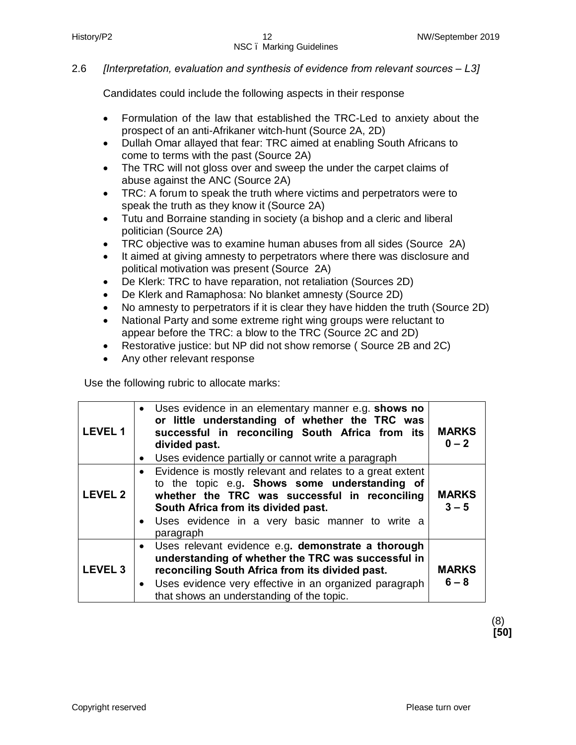#### 2.6 *[Interpretation, evaluation and synthesis of evidence from relevant sources – L3]*

Candidates could include the following aspects in their response

- · Formulation of the law that established the TRC-Led to anxiety about the prospect of an anti-Afrikaner witch-hunt (Source 2A, 2D)
- · Dullah Omar allayed that fear: TRC aimed at enabling South Africans to come to terms with the past (Source 2A)
- The TRC will not gloss over and sweep the under the carpet claims of abuse against the ANC (Source 2A)
- · TRC: A forum to speak the truth where victims and perpetrators were to speak the truth as they know it (Source 2A)
- · Tutu and Borraine standing in society (a bishop and a cleric and liberal politician (Source 2A)
- · TRC objective was to examine human abuses from all sides (Source 2A)
- · It aimed at giving amnesty to perpetrators where there was disclosure and political motivation was present (Source 2A)
- · De Klerk: TRC to have reparation, not retaliation (Sources 2D)
- · De Klerk and Ramaphosa: No blanket amnesty (Source 2D)
- · No amnesty to perpetrators if it is clear they have hidden the truth (Source 2D)
- · National Party and some extreme right wing groups were reluctant to appear before the TRC: a blow to the TRC (Source 2C and 2D)
- · Restorative justice: but NP did not show remorse ( Source 2B and 2C)
- Any other relevant response

Use the following rubric to allocate marks:

| <b>LEVEL1</b>  | • Uses evidence in an elementary manner e.g. shows no<br>or little understanding of whether the TRC was<br>successful in reconciling South Africa from its<br>divided past.<br>Uses evidence partially or cannot write a paragraph<br>$\bullet$                                              | <b>MARKS</b><br>$0 - 2$ |
|----------------|----------------------------------------------------------------------------------------------------------------------------------------------------------------------------------------------------------------------------------------------------------------------------------------------|-------------------------|
| <b>LEVEL 2</b> | • Evidence is mostly relevant and relates to a great extent<br>to the topic e.g. Shows some understanding of<br>whether the TRC was successful in reconciling<br>South Africa from its divided past.<br>• Uses evidence in a very basic manner to write a<br>paragraph                       | <b>MARKS</b><br>$3 - 5$ |
| <b>LEVEL 3</b> | Uses relevant evidence e.g. demonstrate a thorough<br>$\bullet$<br>understanding of whether the TRC was successful in<br>reconciling South Africa from its divided past.<br>Uses evidence very effective in an organized paragraph<br>$\bullet$<br>that shows an understanding of the topic. | <b>MARKS</b><br>$6 - 8$ |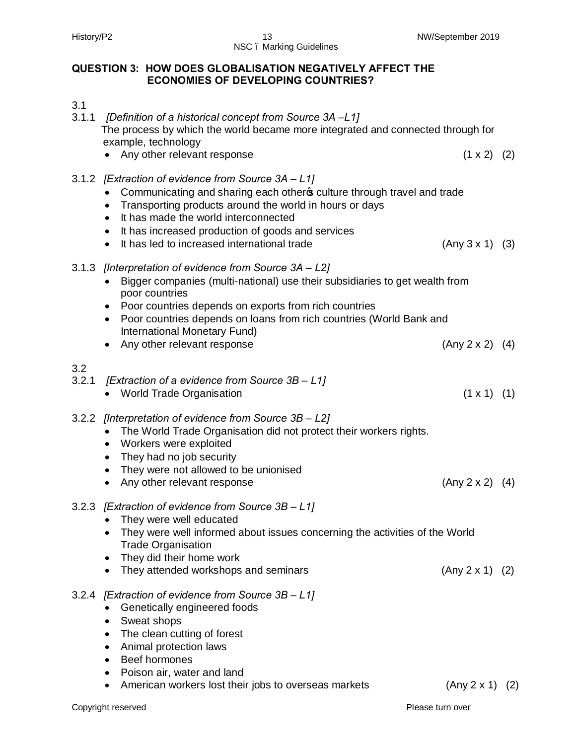#### History/P2 13 NW/September 2019 NSC – Marking Guidelines

#### **QUESTION 3: HOW DOES GLOBALISATION NEGATIVELY AFFECT THE ECONOMIES OF DEVELOPING COUNTRIES?**

- 3.1
- 3.1.1 *[Definition of a historical concept from Source 3A –L1]* The process by which the world became more integrated and connected through for example, technology • Any other relevant response (1 x 2) (2)
- 3.1.2 *[Extraction of evidence from Source 3A – L1]*
	- Communicating and sharing each others culture through travel and trade
	- Transporting products around the world in hours or days
	- · It has made the world interconnected
	- · It has increased production of goods and services
	- It has led to increased international trade (Any 3 x 1) (3)

#### 3.1.3 *[Interpretation of evidence from Source 3A – L2]*

- · Bigger companies (multi-national) use their subsidiaries to get wealth from poor countries
- · Poor countries depends on exports from rich countries
- · Poor countries depends on loans from rich countries (World Bank and International Monetary Fund)
- Any other relevant response (Any 2 x 2) (4)

#### 3.2

- 3.2.1 *[Extraction of a evidence from Source 3B – L1]*
	- World Trade Organisation (1 x 1) (1)
- 3.2.2 *[Interpretation of evidence from Source 3B – L2]*
	- The World Trade Organisation did not protect their workers rights.
	- Workers were exploited
	- · They had no job security
	- · They were not allowed to be unionised
	- Any other relevant response (Any 2 x 2) (4)

#### 3.2.3 *[Extraction of evidence from Source 3B – L1]*

- They were well educated
- · They were well informed about issues concerning the activities of the World Trade Organisation
- · They did their home work
- · They attended workshops and seminars (Any 2 x 1) (2)

#### 3.2.4 *[Extraction of evidence from Source 3B – L1]*

- · Genetically engineered foods
- · Sweat shops
- The clean cutting of forest
- · Animal protection laws
- · Beef hormones
- · Poison air, water and land
- American workers lost their jobs to overseas markets  $(Any 2 x 1) (2)$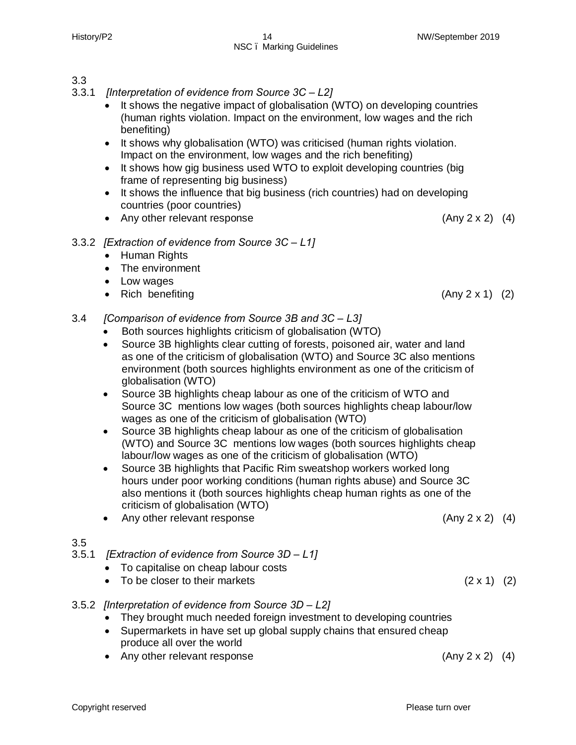#### 3.3

- 3.3.1 *[Interpretation of evidence from Source 3C – L2]*
	- It shows the negative impact of globalisation (WTO) on developing countries (human rights violation. Impact on the environment, low wages and the rich benefiting)
	- · It shows why globalisation (WTO) was criticised (human rights violation. Impact on the environment, low wages and the rich benefiting)
	- · It shows how gig business used WTO to exploit developing countries (big frame of representing big business)
	- · It shows the influence that big business (rich countries) had on developing countries (poor countries)
	- Any other relevant response (Any 2 x 2) (4)

#### 3.3.2 *[Extraction of evidence from Source 3C – L1]*

- · Human Rights
- · The environment
- · Low wages
- Rich benefiting (Any 2 x 1) (2)
- 3.4 *[Comparison of evidence from Source 3B and 3C – L3]*
	- · Both sources highlights criticism of globalisation (WTO)
	- · Source 3B highlights clear cutting of forests, poisoned air, water and land as one of the criticism of globalisation (WTO) and Source 3C also mentions environment (both sources highlights environment as one of the criticism of globalisation (WTO)
	- · Source 3B highlights cheap labour as one of the criticism of WTO and Source 3C mentions low wages (both sources highlights cheap labour/low wages as one of the criticism of globalisation (WTO)
	- · Source 3B highlights cheap labour as one of the criticism of globalisation (WTO) and Source 3C mentions low wages (both sources highlights cheap labour/low wages as one of the criticism of globalisation (WTO)
	- Source 3B highlights that Pacific Rim sweatshop workers worked long hours under poor working conditions (human rights abuse) and Source 3C also mentions it (both sources highlights cheap human rights as one of the criticism of globalisation (WTO)
	- Any other relevant response (Any 2 x 2) (4)

#### 3.5

- 3.5.1 *[Extraction of evidence from Source 3D – L1]*
	- · To capitalise on cheap labour costs
	- To be closer to their markets  $(2 \times 1)$  (2)
- 3.5.2 *[Interpretation of evidence from Source 3D – L2]*
	- They brought much needed foreign investment to developing countries
	- · Supermarkets in have set up global supply chains that ensured cheap produce all over the world
	- Any other relevant response (Any 2 x 2) (4)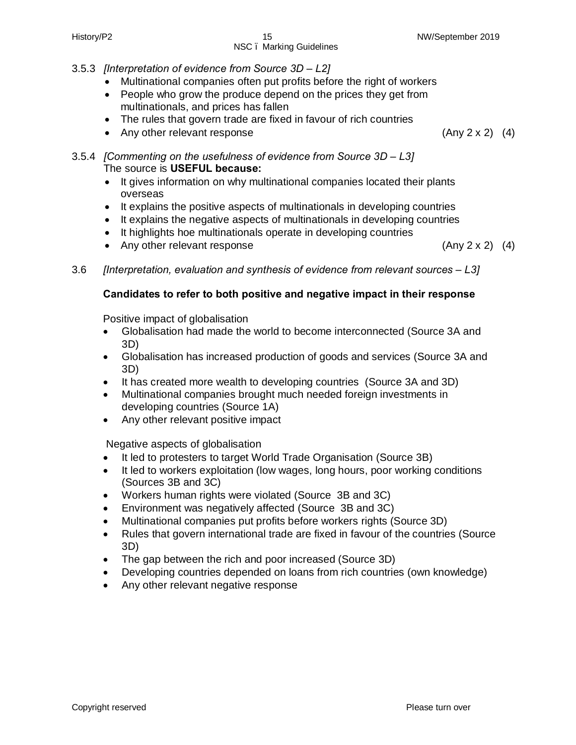## NSC – Marking Guidelines

- 3.5.3 *[Interpretation of evidence from Source 3D – L2]*
	- · Multinational companies often put profits before the right of workers
	- People who grow the produce depend on the prices they get from multinationals, and prices has fallen
	- The rules that govern trade are fixed in favour of rich countries
	- Any other relevant response (Any 2 x 2) (4)

3.5.4 *[Commenting on the usefulness of evidence from Source 3D – L3]* The source is **USEFUL because:**

- · It gives information on why multinational companies located their plants overseas
- · It explains the positive aspects of multinationals in developing countries
- · It explains the negative aspects of multinationals in developing countries
- · It highlights hoe multinationals operate in developing countries
- Any other relevant response (Any 2 x 2) (4)
- 3.6 *[Interpretation, evaluation and synthesis of evidence from relevant sources – L3]*

#### **Candidates to refer to both positive and negative impact in their response**

Positive impact of globalisation

- · Globalisation had made the world to become interconnected (Source 3A and 3D)
- · Globalisation has increased production of goods and services (Source 3A and 3D)
- · It has created more wealth to developing countries (Source 3A and 3D)
- Multinational companies brought much needed foreign investments in developing countries (Source 1A)
- · Any other relevant positive impact

Negative aspects of globalisation

- · It led to protesters to target World Trade Organisation (Source 3B)
- · It led to workers exploitation (low wages, long hours, poor working conditions (Sources 3B and 3C)
- · Workers human rights were violated (Source 3B and 3C)
- · Environment was negatively affected (Source 3B and 3C)
- · Multinational companies put profits before workers rights (Source 3D)
- · Rules that govern international trade are fixed in favour of the countries (Source 3D)
- · The gap between the rich and poor increased (Source 3D)
- · Developing countries depended on loans from rich countries (own knowledge)
- Any other relevant negative response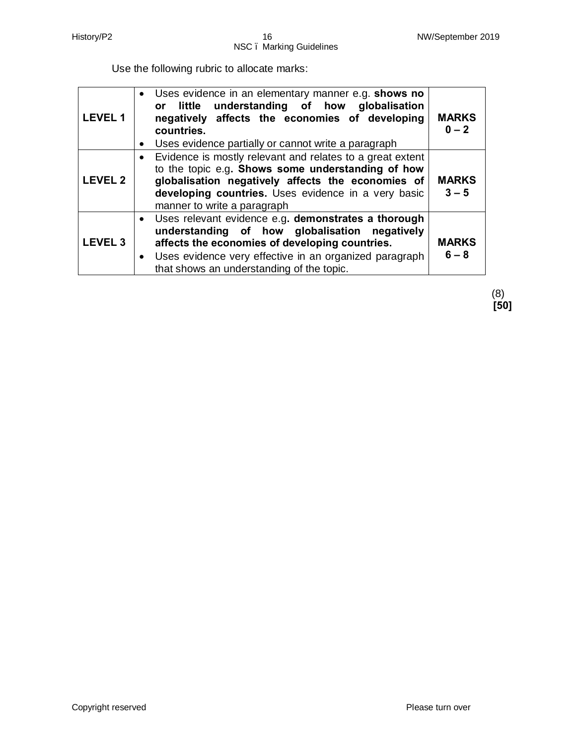Use the following rubric to allocate marks:

| <b>LEVEL 1</b> | • Uses evidence in an elementary manner e.g. shows no<br>little understanding of how globalisation<br><b>or</b><br>negatively affects the economies of developing<br>countries.<br>Uses evidence partially or cannot write a paragraph<br>$\bullet$                                     | <b>MARKS</b><br>$0 - 2$ |
|----------------|-----------------------------------------------------------------------------------------------------------------------------------------------------------------------------------------------------------------------------------------------------------------------------------------|-------------------------|
| <b>LEVEL 2</b> | Evidence is mostly relevant and relates to a great extent<br>to the topic e.g. Shows some understanding of how<br>globalisation negatively affects the economies of<br>developing countries. Uses evidence in a very basic<br>manner to write a paragraph                               | <b>MARKS</b><br>$3 - 5$ |
| <b>LEVEL 3</b> | Uses relevant evidence e.g. demonstrates a thorough<br>$\bullet$<br>understanding of how globalisation negatively<br>affects the economies of developing countries.<br>Uses evidence very effective in an organized paragraph<br>$\bullet$<br>that shows an understanding of the topic. | <b>MARKS</b><br>$6 - 8$ |

(8) **[50]**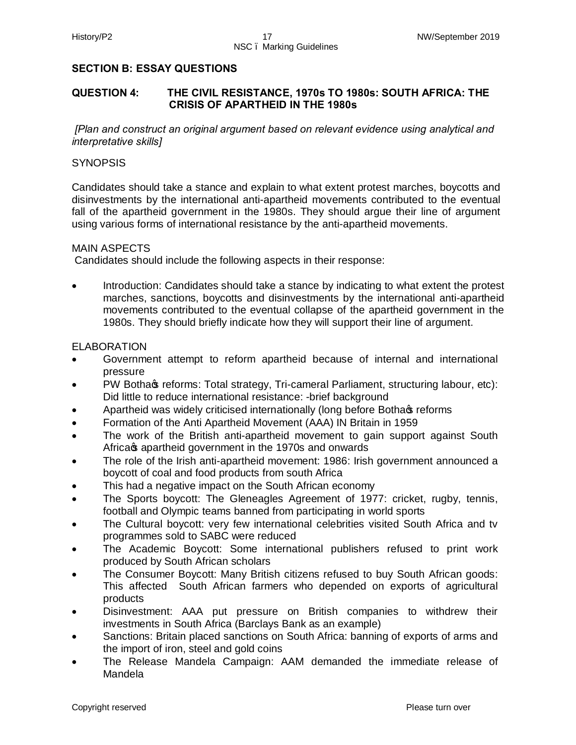#### **SECTION B: ESSAY QUESTIONS**

#### **QUESTION 4: THE CIVIL RESISTANCE, 1970s TO 1980s: SOUTH AFRICA: THE CRISIS OF APARTHEID IN THE 1980s**

*[Plan and construct an original argument based on relevant evidence using analytical and interpretative skills]*

#### **SYNOPSIS**

Candidates should take a stance and explain to what extent protest marches, boycotts and disinvestments by the international anti-apartheid movements contributed to the eventual fall of the apartheid government in the 1980s. They should argue their line of argument using various forms of international resistance by the anti-apartheid movements.

#### MAIN ASPECTS

Candidates should include the following aspects in their response:

· Introduction: Candidates should take a stance by indicating to what extent the protest marches, sanctions, boycotts and disinvestments by the international anti-apartheid movements contributed to the eventual collapse of the apartheid government in the 1980s. They should briefly indicate how they will support their line of argument.

#### **ELABORATION**

- · Government attempt to reform apartheid because of internal and international pressure
- PW Botha reforms: Total strategy, Tri-cameral Parliament, structuring labour, etc): Did little to reduce international resistance: -brief background
- Apartheid was widely criticised internationally (long before Botha of reforms
- · Formation of the Anti Apartheid Movement (AAA) IN Britain in 1959
- · The work of the British anti-apartheid movement to gain support against South Africa apartheid government in the 1970s and onwards
- The role of the Irish anti-apartheid movement: 1986: Irish government announced a boycott of coal and food products from south Africa
- This had a negative impact on the South African economy
- · The Sports boycott: The Gleneagles Agreement of 1977: cricket, rugby, tennis, football and Olympic teams banned from participating in world sports
- · The Cultural boycott: very few international celebrities visited South Africa and tv programmes sold to SABC were reduced
- · The Academic Boycott: Some international publishers refused to print work produced by South African scholars
- The Consumer Boycott: Many British citizens refused to buy South African goods: This affected South African farmers who depended on exports of agricultural products
- Disinvestment: AAA put pressure on British companies to withdrew their investments in South Africa (Barclays Bank as an example)
- Sanctions: Britain placed sanctions on South Africa: banning of exports of arms and the import of iron, steel and gold coins
- The Release Mandela Campaign: AAM demanded the immediate release of Mandela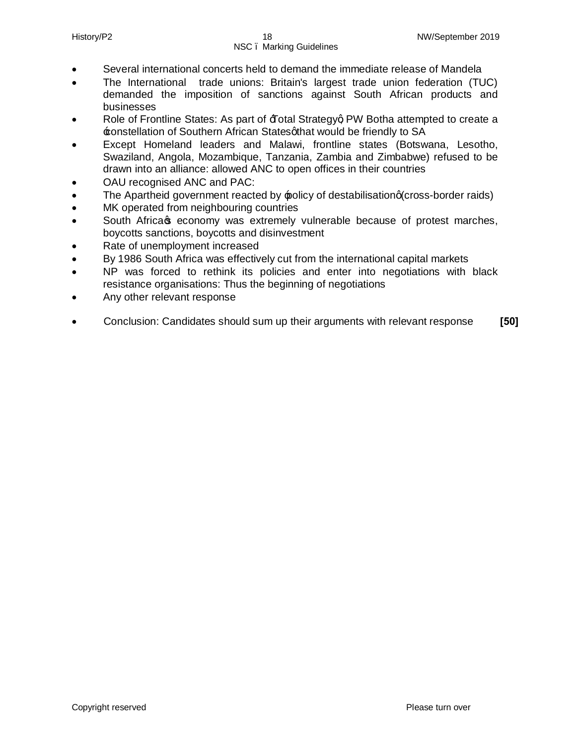- · Several international concerts held to demand the immediate release of Mandela
- · The International trade unions: Britain's largest trade union federation (TUC) demanded the imposition of sanctions against South African products and businesses
- Role of Frontline States: As part of  $\overline{A}$ otal Strategyg PW Botha attempted to create a  $\pm$ onstellation of Southern African Statesgthat would be friendly to SA
- Except Homeland leaders and Malawi, frontline states (Botswana, Lesotho, Swaziland, Angola, Mozambique, Tanzania, Zambia and Zimbabwe) refused to be drawn into an alliance: allowed ANC to open offices in their countries
- OAU recognised ANC and PAC:
- The Apartheid government reacted by policy of destabilisationq (cross-border raids)
- MK operated from neighbouring countries
- South Africa **s** economy was extremely vulnerable because of protest marches, boycotts sanctions, boycotts and disinvestment
- Rate of unemployment increased
- By 1986 South Africa was effectively cut from the international capital markets
- NP was forced to rethink its policies and enter into negotiations with black resistance organisations: Thus the beginning of negotiations
- · Any other relevant response
- · Conclusion: Candidates should sum up their arguments with relevant response **[50]**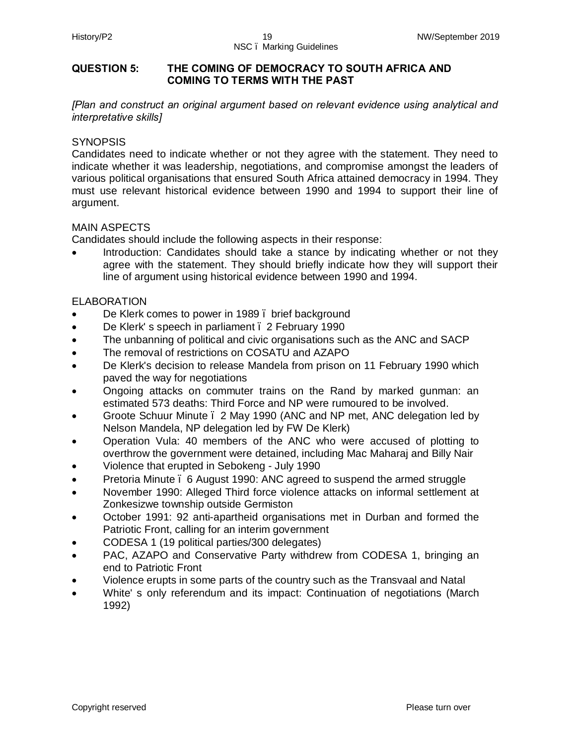#### **QUESTION 5: THE COMING OF DEMOCRACY TO SOUTH AFRICA AND COMING TO TERMS WITH THE PAST**

*[Plan and construct an original argument based on relevant evidence using analytical and interpretative skills]*

#### **SYNOPSIS**

Candidates need to indicate whether or not they agree with the statement. They need to indicate whether it was leadership, negotiations, and compromise amongst the leaders of various political organisations that ensured South Africa attained democracy in 1994. They must use relevant historical evidence between 1990 and 1994 to support their line of argument.

#### MAIN ASPECTS

Candidates should include the following aspects in their response:

Introduction: Candidates should take a stance by indicating whether or not they agree with the statement. They should briefly indicate how they will support their line of argument using historical evidence between 1990 and 1994.

#### ELABORATION

- De Klerk comes to power in 1989. brief background
- De Klerk's speech in parliament . 2 February 1990
- The unbanning of political and civic organisations such as the ANC and SACP
- · The removal of restrictions on COSATU and AZAPO
- · De Klerk's decision to release Mandela from prison on 11 February 1990 which paved the way for negotiations
- · Ongoing attacks on commuter trains on the Rand by marked gunman: an estimated 573 deaths: Third Force and NP were rumoured to be involved.
- · Groote Schuur Minute 2 May 1990 (ANC and NP met, ANC delegation led by Nelson Mandela, NP delegation led by FW De Klerk)
- · Operation Vula: 40 members of the ANC who were accused of plotting to overthrow the government were detained, including Mac Maharaj and Billy Nair
- · Violence that erupted in Sebokeng July 1990
- Pretoria Minute . 6 August 1990: ANC agreed to suspend the armed struggle
- November 1990: Alleged Third force violence attacks on informal settlement at Zonkesizwe township outside Germiston
- October 1991: 92 anti-apartheid organisations met in Durban and formed the Patriotic Front, calling for an interim government
- · CODESA 1 (19 political parties/300 delegates)
- · PAC, AZAPO and Conservative Party withdrew from CODESA 1, bringing an end to Patriotic Front
- · Violence erupts in some parts of the country such as the Transvaal and Natal
- · White' s only referendum and its impact: Continuation of negotiations (March 1992)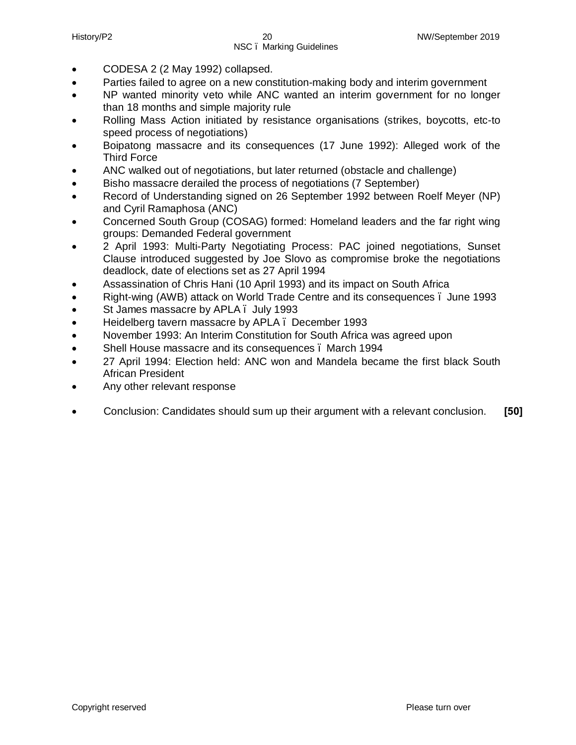- · CODESA 2 (2 May 1992) collapsed.
- · Parties failed to agree on a new constitution-making body and interim government
- NP wanted minority veto while ANC wanted an interim government for no longer than 18 months and simple majority rule
- · Rolling Mass Action initiated by resistance organisations (strikes, boycotts, etc-to speed process of negotiations)
- · Boipatong massacre and its consequences (17 June 1992): Alleged work of the Third Force
- · ANC walked out of negotiations, but later returned (obstacle and challenge)
- Bisho massacre derailed the process of negotiations (7 September)
- Record of Understanding signed on 26 September 1992 between Roelf Meyer (NP) and Cyril Ramaphosa (ANC)
- Concerned South Group (COSAG) formed: Homeland leaders and the far right wing groups: Demanded Federal government
- · 2 April 1993: Multi-Party Negotiating Process: PAC joined negotiations, Sunset Clause introduced suggested by Joe Slovo as compromise broke the negotiations deadlock, date of elections set as 27 April 1994
- · Assassination of Chris Hani (10 April 1993) and its impact on South Africa
- Right-wing (AWB) attack on World Trade Centre and its consequences . June 1993
- St James massacre by APLA . July 1993
- · Heidelberg tavern massacre by APLA December 1993
- November 1993: An Interim Constitution for South Africa was agreed upon
- Shell House massacre and its consequences . March 1994
- · 27 April 1994: Election held: ANC won and Mandela became the first black South African President
- Any other relevant response
- · Conclusion: Candidates should sum up their argument with a relevant conclusion. **[50]**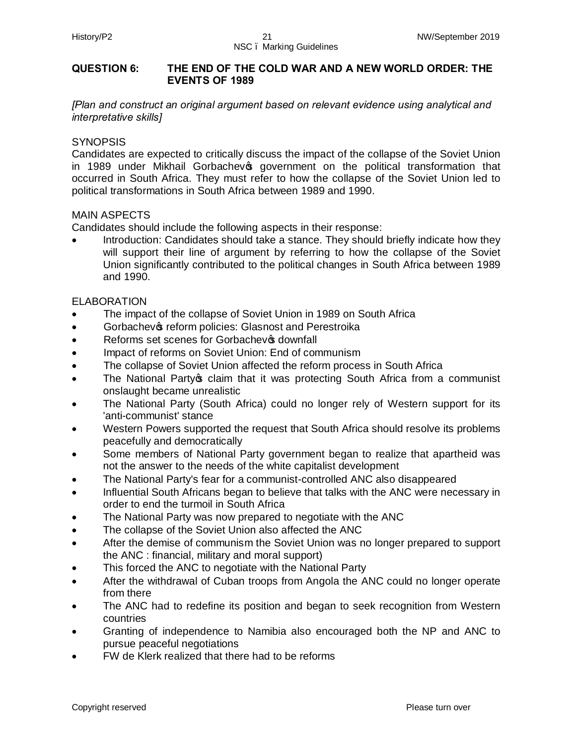#### **QUESTION 6: THE END OF THE COLD WAR AND A NEW WORLD ORDER: THE EVENTS OF 1989**

*[Plan and construct an original argument based on relevant evidence using analytical and interpretative skills]*

#### **SYNOPSIS**

Candidates are expected to critically discuss the impact of the collapse of the Soviet Union in 1989 under Mikhail Gorbachev<sup>®</sup> government on the political transformation that occurred in South Africa. They must refer to how the collapse of the Soviet Union led to political transformations in South Africa between 1989 and 1990.

#### MAIN ASPECTS

Candidates should include the following aspects in their response:

Introduction: Candidates should take a stance. They should briefly indicate how they will support their line of argument by referring to how the collapse of the Soviet Union significantly contributed to the political changes in South Africa between 1989 and 1990.

#### ELABORATION

- · The impact of the collapse of Soviet Union in 1989 on South Africa
- Gorbachev<sub>®</sub> reform policies: Glasnost and Perestroika
- Reforms set scenes for Gorbachev<sup>®</sup> downfall
- Impact of reforms on Soviet Union: End of communism
- The collapse of Soviet Union affected the reform process in South Africa
- The National Party o claim that it was protecting South Africa from a communist onslaught became unrealistic
- The National Party (South Africa) could no longer rely of Western support for its 'anti-communist' stance
- Western Powers supported the request that South Africa should resolve its problems peacefully and democratically
- Some members of National Party government began to realize that apartheid was not the answer to the needs of the white capitalist development
- · The National Party's fear for a communist-controlled ANC also disappeared
- Influential South Africans began to believe that talks with the ANC were necessary in order to end the turmoil in South Africa
- The National Party was now prepared to negotiate with the ANC
- The collapse of the Soviet Union also affected the ANC
- After the demise of communism the Soviet Union was no longer prepared to support the ANC : financial, military and moral support)
- This forced the ANC to negotiate with the National Party
- · After the withdrawal of Cuban troops from Angola the ANC could no longer operate from there
- The ANC had to redefine its position and began to seek recognition from Western countries
- Granting of independence to Namibia also encouraged both the NP and ANC to pursue peaceful negotiations
- FW de Klerk realized that there had to be reforms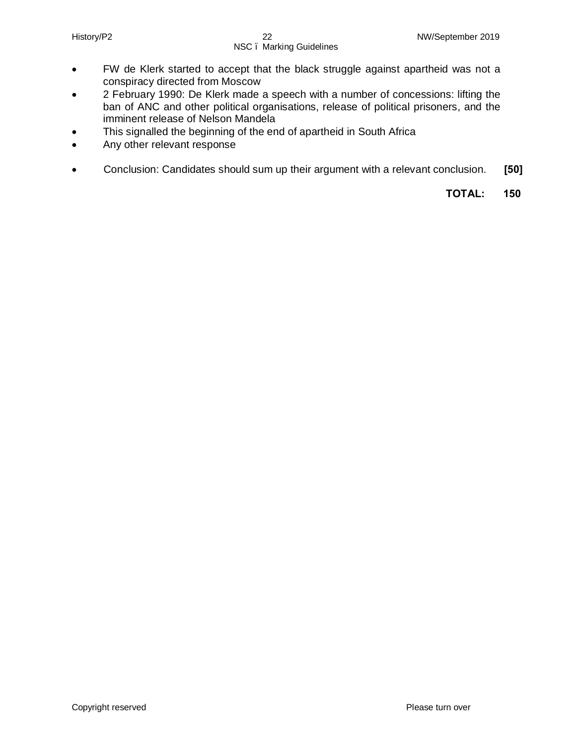- · FW de Klerk started to accept that the black struggle against apartheid was not a conspiracy directed from Moscow
- · 2 February 1990: De Klerk made a speech with a number of concessions: lifting the ban of ANC and other political organisations, release of political prisoners, and the imminent release of Nelson Mandela
- · This signalled the beginning of the end of apartheid in South Africa
- Any other relevant response
- · Conclusion: Candidates should sum up their argument with a relevant conclusion. **[50]**

 **TOTAL: 150**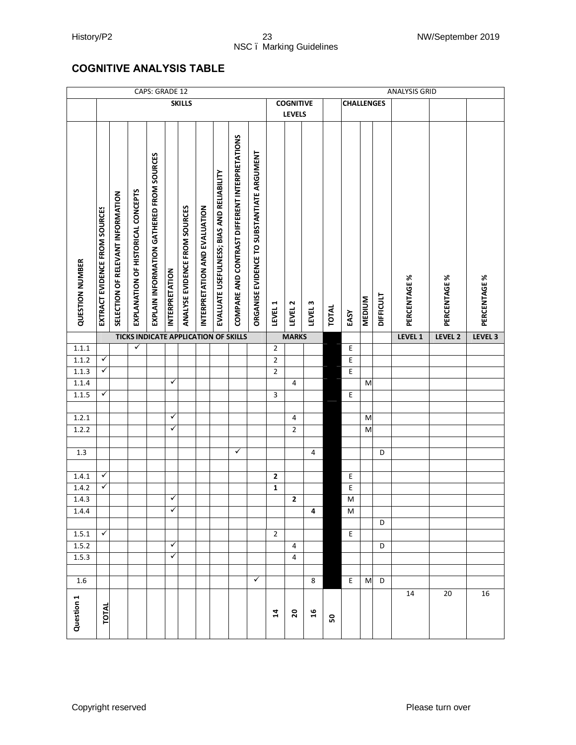#### History/P2 23 23 NW/September 2019 NSC – Marking Guidelines

#### **COGNITIVE ANALYSIS TABLE**

|                        | CAPS: GRADE 12                |                                   |                                    |                                           |                       |                               |                               |                                           |                                                |                                                          |                |                  |                    |       |                   |               |                  | <b>ANALYSIS GRID</b> |              |              |
|------------------------|-------------------------------|-----------------------------------|------------------------------------|-------------------------------------------|-----------------------|-------------------------------|-------------------------------|-------------------------------------------|------------------------------------------------|----------------------------------------------------------|----------------|------------------|--------------------|-------|-------------------|---------------|------------------|----------------------|--------------|--------------|
|                        |                               |                                   |                                    |                                           |                       | <b>SKILLS</b>                 |                               |                                           |                                                |                                                          |                | <b>COGNITIVE</b> |                    |       | <b>CHALLENGES</b> |               |                  |                      |              |              |
|                        |                               |                                   |                                    |                                           |                       |                               |                               |                                           |                                                |                                                          |                | <b>LEVELS</b>    |                    |       |                   |               |                  |                      |              |              |
| <b>QUESTION NUMBER</b> | EXTRACT EVIDENCE FROM SOURCES | SELECTION OF RELEVANT INFORMATION | EXPLANATION OF HISTORICAL CONCEPTS | EXPLAIN INFORMATION GATHERED FROM SOURCES | <b>INTERPRETATION</b> | ANALYSE EVIDENCE FROM SOURCES | INTERPRETATION AND EVALUATION | EVALUATE USEFULNESS; BIAS AND RELIABILITY | COMPARE AND CONTRAST DIFFERENT INTERPRETATIONS | <b><i>ORGANISE EVIDENCE TO SUBSTANTIATE ARGUMENT</i></b> | LEVEL 1        | LEVEL 2          | LEVEL <sub>3</sub> | TOTAL | EASY              | <b>MEDIUM</b> | <b>DIFFICULT</b> | PERCENTAGE %         | PERCENTAGE % | PERCENTAGE % |
|                        |                               |                                   |                                    |                                           |                       |                               |                               |                                           | <b>TICKS INDICATE APPLICATION OF SKILLS</b>    |                                                          |                | <b>MARKS</b>     |                    |       |                   |               |                  | LEVEL 1              | LEVEL 2      | LEVEL 3      |
| 1.1.1                  |                               |                                   | ✓                                  |                                           |                       |                               |                               |                                           |                                                |                                                          | $\mathbf 2$    |                  |                    |       | Ε                 |               |                  |                      |              |              |
| 1.1.2                  | ✓                             |                                   |                                    |                                           |                       |                               |                               |                                           |                                                |                                                          | $\overline{2}$ |                  |                    |       | E                 |               |                  |                      |              |              |
| 1.1.3                  | ✓                             |                                   |                                    |                                           |                       |                               |                               |                                           |                                                |                                                          | $\overline{2}$ |                  |                    |       | E                 |               |                  |                      |              |              |
| 1.1.4                  |                               |                                   |                                    |                                           | ✓                     |                               |                               |                                           |                                                |                                                          |                | $\overline{4}$   |                    |       |                   | M             |                  |                      |              |              |
| 1.1.5                  | ✓                             |                                   |                                    |                                           |                       |                               |                               |                                           |                                                |                                                          | 3              |                  |                    |       | E                 |               |                  |                      |              |              |
|                        |                               |                                   |                                    |                                           |                       |                               |                               |                                           |                                                |                                                          |                |                  |                    |       |                   |               |                  |                      |              |              |
| 1.2.1                  |                               |                                   |                                    |                                           | ✓                     |                               |                               |                                           |                                                |                                                          |                | 4                |                    |       |                   | M             |                  |                      |              |              |
| 1.2.2                  |                               |                                   |                                    |                                           | ✓                     |                               |                               |                                           |                                                |                                                          |                | 2                |                    |       |                   | M             |                  |                      |              |              |
|                        |                               |                                   |                                    |                                           |                       |                               |                               |                                           |                                                |                                                          |                |                  |                    |       |                   |               |                  |                      |              |              |
| 1.3                    |                               |                                   |                                    |                                           |                       |                               |                               |                                           | ✓                                              |                                                          |                |                  | $\sqrt{4}$         |       |                   |               | D                |                      |              |              |
|                        |                               |                                   |                                    |                                           |                       |                               |                               |                                           |                                                |                                                          |                |                  |                    |       |                   |               |                  |                      |              |              |
| 1.4.1                  | ✓                             |                                   |                                    |                                           |                       |                               |                               |                                           |                                                |                                                          | $\mathbf{2}$   |                  |                    |       | E                 |               |                  |                      |              |              |
| 1.4.2                  | ✓                             |                                   |                                    |                                           |                       |                               |                               |                                           |                                                |                                                          | 1              |                  |                    |       | E                 |               |                  |                      |              |              |
| 1.4.3                  |                               |                                   |                                    |                                           | ✓                     |                               |                               |                                           |                                                |                                                          |                | 2                |                    |       | M                 |               |                  |                      |              |              |
|                        |                               |                                   |                                    |                                           |                       |                               |                               |                                           |                                                |                                                          |                |                  |                    |       |                   |               |                  |                      |              |              |
| 1.4.4                  |                               |                                   |                                    |                                           | ✓                     |                               |                               |                                           |                                                |                                                          |                |                  | 4                  |       | M                 |               |                  |                      |              |              |
|                        | ✓                             |                                   |                                    |                                           |                       |                               |                               |                                           |                                                |                                                          |                |                  |                    |       |                   |               | D                |                      |              |              |
| 1.5.1                  |                               |                                   |                                    |                                           | ✓                     |                               |                               |                                           |                                                |                                                          | $\overline{2}$ |                  |                    |       | E                 |               |                  |                      |              |              |
| 1.5.2                  |                               |                                   |                                    |                                           |                       |                               |                               |                                           |                                                |                                                          |                | 4                |                    |       |                   |               | D                |                      |              |              |
| 1.5.3                  |                               |                                   |                                    |                                           | ✓                     |                               |                               |                                           |                                                |                                                          |                | $\overline{4}$   |                    |       |                   |               |                  |                      |              |              |
| 1.6                    |                               |                                   |                                    |                                           |                       |                               |                               |                                           |                                                | $\checkmark$                                             |                |                  | 8                  |       | E                 | M             | D                |                      |              |              |
|                        |                               |                                   |                                    |                                           |                       |                               |                               |                                           |                                                |                                                          |                |                  |                    |       |                   |               |                  | 14                   | 20           | 16           |
| Question 1             | <b>TOTAL</b>                  |                                   |                                    |                                           |                       |                               |                               |                                           |                                                |                                                          | 14             | $\mathbf{S}$     | $\frac{9}{2}$      | SO    |                   |               |                  |                      |              |              |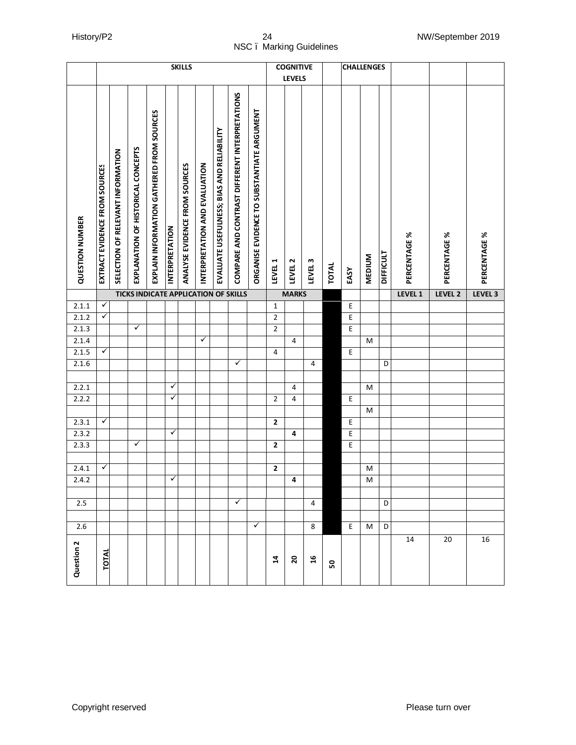|                        |                               |                                   |                                    |                                           |                       | <b>SKILLS</b>                 |                               |                                           |                                                |                                            |                | <b>COGNITIVE</b>   |                    |              |      | <b>CHALLENGES</b>       |                  |              |              |              |
|------------------------|-------------------------------|-----------------------------------|------------------------------------|-------------------------------------------|-----------------------|-------------------------------|-------------------------------|-------------------------------------------|------------------------------------------------|--------------------------------------------|----------------|--------------------|--------------------|--------------|------|-------------------------|------------------|--------------|--------------|--------------|
|                        |                               |                                   |                                    |                                           |                       |                               |                               |                                           |                                                |                                            |                | <b>LEVELS</b>      |                    |              |      |                         |                  |              |              |              |
| <b>QUESTION NUMBER</b> | EXTRACT EVIDENCE FROM SOURCES | SELECTION OF RELEVANT INFORMATION | EXPLANATION OF HISTORICAL CONCEPTS | EXPLAIN INFORMATION GATHERED FROM SOURCES | <b>INTERPRETATION</b> | ANALYSE EVIDENCE FROM SOURCES | INTERPRETATION AND EVALUATION | EVALUATE USEFULNESS; BIAS AND RELIABILITY | COMPARE AND CONTRAST DIFFERENT INTERPRETATIONS | ORGANISE EVIDENCE TO SUBSTANTIATE ARGUMENT | LEVEL 1        | LEVEL <sub>2</sub> | LEVEL <sub>3</sub> | <b>TOTAL</b> | EASY | <b>MEDIUM</b>           | <b>DIFFICULT</b> | PERCENTAGE % | PERCENTAGE % | PERCENTAGE % |
|                        |                               |                                   |                                    |                                           |                       |                               |                               |                                           | <b>TICKS INDICATE APPLICATION OF SKILLS</b>    |                                            |                | <b>MARKS</b>       |                    |              |      |                         |                  | LEVEL 1      | LEVEL 2      | LEVEL 3      |
| 2.1.1                  | $\checkmark$<br>$\checkmark$  |                                   |                                    |                                           |                       |                               |                               |                                           |                                                |                                            | $\mathbf{1}$   |                    |                    |              | E    |                         |                  |              |              |              |
| 2.1.2                  |                               |                                   | $\checkmark$                       |                                           |                       |                               |                               |                                           |                                                |                                            | $\mathbf 2$    |                    |                    |              | E    |                         |                  |              |              |              |
| 2.1.3<br>2.1.4         |                               |                                   |                                    |                                           |                       |                               | ✓                             |                                           |                                                |                                            | $\overline{2}$ | $\overline{4}$     |                    |              | E    | M                       |                  |              |              |              |
| 2.1.5                  | ✓                             |                                   |                                    |                                           |                       |                               |                               |                                           |                                                |                                            | 4              |                    |                    |              | E    |                         |                  |              |              |              |
| 2.1.6                  |                               |                                   |                                    |                                           |                       |                               |                               |                                           | ✓                                              |                                            |                |                    | $\overline{4}$     |              |      |                         | D                |              |              |              |
|                        |                               |                                   |                                    |                                           |                       |                               |                               |                                           |                                                |                                            |                |                    |                    |              |      |                         |                  |              |              |              |
| 2.2.1                  |                               |                                   |                                    |                                           | ✓                     |                               |                               |                                           |                                                |                                            |                | 4                  |                    |              |      | M                       |                  |              |              |              |
| 2.2.2                  |                               |                                   |                                    |                                           | ✓                     |                               |                               |                                           |                                                |                                            | $\overline{2}$ | 4                  |                    |              | Ε    |                         |                  |              |              |              |
|                        |                               |                                   |                                    |                                           |                       |                               |                               |                                           |                                                |                                            |                |                    |                    |              |      | M                       |                  |              |              |              |
| 2.3.1                  | $\checkmark$                  |                                   |                                    |                                           |                       |                               |                               |                                           |                                                |                                            | $\mathbf{2}$   |                    |                    |              | E    |                         |                  |              |              |              |
| 2.3.2                  |                               |                                   |                                    |                                           | ✓                     |                               |                               |                                           |                                                |                                            |                | 4                  |                    |              | E    |                         |                  |              |              |              |
| 2.3.3                  |                               |                                   | $\checkmark$                       |                                           |                       |                               |                               |                                           |                                                |                                            | $\mathbf{2}$   |                    |                    |              | E    |                         |                  |              |              |              |
|                        |                               |                                   |                                    |                                           |                       |                               |                               |                                           |                                                |                                            |                |                    |                    |              |      |                         |                  |              |              |              |
| 2.4.1                  | $\checkmark$                  |                                   |                                    |                                           |                       |                               |                               |                                           |                                                |                                            | $\mathbf 2$    |                    |                    |              |      | M                       |                  |              |              |              |
| 2.4.2                  |                               |                                   |                                    |                                           | $\checkmark$          |                               |                               |                                           |                                                |                                            |                | 4                  |                    |              |      | $\overline{\mathsf{M}}$ |                  |              |              |              |
|                        |                               |                                   |                                    |                                           |                       |                               |                               |                                           |                                                |                                            |                |                    |                    |              |      |                         |                  |              |              |              |
| 2.5                    |                               |                                   |                                    |                                           |                       |                               |                               |                                           | ✓                                              |                                            |                |                    | 4                  |              |      |                         | D                |              |              |              |
|                        |                               |                                   |                                    |                                           |                       |                               |                               |                                           |                                                |                                            |                |                    |                    |              |      |                         |                  |              |              |              |
| 2.6                    |                               |                                   |                                    |                                           |                       |                               |                               |                                           |                                                | ✓                                          |                |                    | 8                  |              | E    | M                       | D                |              |              |              |
| Question 2             | TOTAL                         |                                   |                                    |                                           |                       |                               |                               |                                           |                                                |                                            | 4              | $\overline{20}$    | $\mathfrak{a}$     | ន            |      |                         |                  | 14           | 20           | 16           |